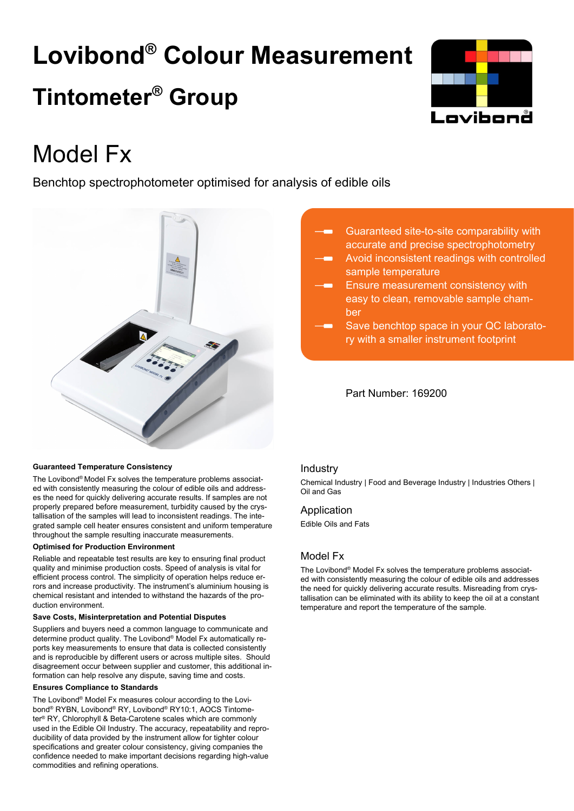# **Lovibond® Colour Measurement Tintometer® Group**



## Model Fx

Benchtop spectrophotometer optimised for analysis of edible oils



## Guaranteed site-to-site comparability with accurate and precise spectrophotometry

- Avoid inconsistent readings with controlled sample temperature
- Ensure measurement consistency with easy to clean, removable sample chamber
- Save benchtop space in your QC laboratory with a smaller instrument footprint

## Part Number: 169200

## **Guaranteed Temperature Consistency**

The Lovibond® Model Fx solves the temperature problems associated with consistently measuring the colour of edible oils and addresses the need for quickly delivering accurate results. If samples are not properly prepared before measurement, turbidity caused by the crystallisation of the samples will lead to inconsistent readings. The integrated sample cell heater ensures consistent and uniform temperature throughout the sample resulting inaccurate measurements.

## **Optimised for Production Environment**

Reliable and repeatable test results are key to ensuring final product quality and minimise production costs. Speed of analysis is vital for efficient process control. The simplicity of operation helps reduce errors and increase productivity. The instrument's aluminium housing is chemical resistant and intended to withstand the hazards of the production environment.

## **Save Costs, Misinterpretation and Potential Disputes**

Suppliers and buyers need a common language to communicate and determine product quality. The Lovibond® Model Fx automatically reports key measurements to ensure that data is collected consistently and is reproducible by different users or across multiple sites. Should disagreement occur between supplier and customer, this additional information can help resolve any dispute, saving time and costs.

## **Ensures Compliance to Standards**

The Lovibond® Model Fx measures colour according to the Lovibond® RYBN, Lovibond® RY, Lovibond® RY10:1, AOCS Tintometer® RY, Chlorophyll & Beta-Carotene scales which are commonly used in the Edible Oil Industry. The accuracy, repeatability and reproducibility of data provided by the instrument allow for tighter colour specifications and greater colour consistency, giving companies the confidence needed to make important decisions regarding high-value commodities and refining operations.

## Industry

Chemical Industry | Food and Beverage Industry | Industries Others | Oil and Gas

## Application

Edible Oils and Fats

## Model Fx

The Lovibond® Model Fx solves the temperature problems associated with consistently measuring the colour of edible oils and addresses the need for quickly delivering accurate results. Misreading from crystallisation can be eliminated with its ability to keep the oil at a constant temperature and report the temperature of the sample.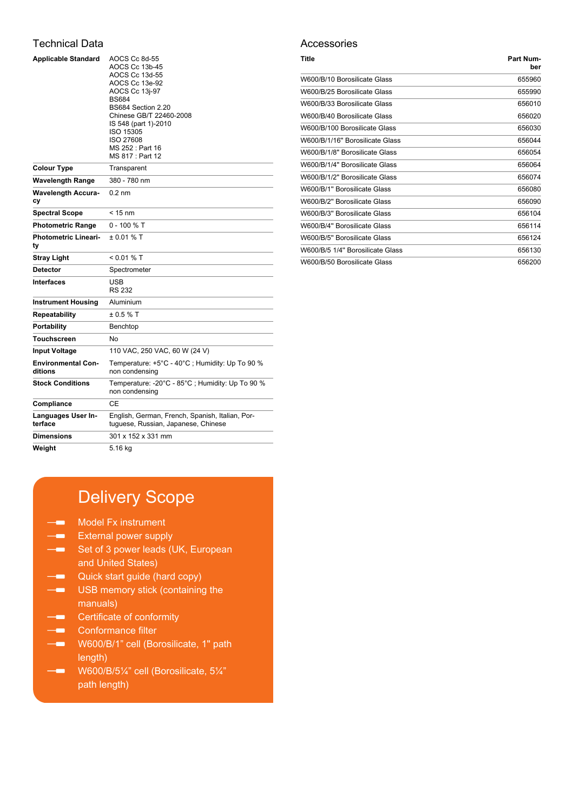## Technical Data

| <b>Applicable Standard</b>           | AOCS Cc 8d-55<br>AOCS Cc 13b-45<br>AOCS Cc 13d-55<br>AOCS Cc 13e-92<br>AOCS Cc 13j-97<br><b>BS684</b><br>BS684 Section 2.20<br>Chinese GB/T 22460-2008<br>IS 548 (part 1)-2010<br>ISO 15305<br><b>ISO 27608</b><br>MS 252 : Part 16<br>MS 817: Part 12 |
|--------------------------------------|--------------------------------------------------------------------------------------------------------------------------------------------------------------------------------------------------------------------------------------------------------|
| <b>Colour Type</b>                   | Transparent                                                                                                                                                                                                                                            |
| <b>Wavelength Range</b>              | 380 - 780 nm                                                                                                                                                                                                                                           |
| <b>Wavelength Accura-</b><br>сy      | $0.2 \text{ nm}$                                                                                                                                                                                                                                       |
| <b>Spectral Scope</b>                | $<$ 15 nm                                                                                                                                                                                                                                              |
| <b>Photometric Range</b>             | $0 - 100$ % T                                                                                                                                                                                                                                          |
| <b>Photometric Lineari-</b><br>ty    | $± 0.01 %$ T                                                                                                                                                                                                                                           |
| Stray Light                          | $< 0.01 %$ T                                                                                                                                                                                                                                           |
| <b>Detector</b>                      | Spectrometer                                                                                                                                                                                                                                           |
| <b>Interfaces</b>                    | USB<br><b>RS 232</b>                                                                                                                                                                                                                                   |
| <b>Instrument Housing</b>            | Aluminium                                                                                                                                                                                                                                              |
| <b>Repeatability</b>                 | ± 0.5 % T                                                                                                                                                                                                                                              |
| Portability                          | Benchtop                                                                                                                                                                                                                                               |
| <b>Touchscreen</b>                   | No                                                                                                                                                                                                                                                     |
| <b>Input Voltage</b>                 | 110 VAC, 250 VAC, 60 W (24 V)                                                                                                                                                                                                                          |
| <b>Environmental Con-</b><br>ditions | Temperature: +5°C - 40°C; Humidity: Up To 90 %<br>non condensing                                                                                                                                                                                       |
| <b>Stock Conditions</b>              | Temperature: -20°C - 85°C; Humidity: Up To 90 %<br>non condensing                                                                                                                                                                                      |
| Compliance                           | СE                                                                                                                                                                                                                                                     |
| Languages User In-<br>terface        | English, German, French, Spanish, Italian, Por-<br>tuguese, Russian, Japanese, Chinese                                                                                                                                                                 |
| <b>Dimensions</b>                    | 301 x 152 x 331 mm                                                                                                                                                                                                                                     |
| Weight                               | 5.16 kg                                                                                                                                                                                                                                                |

## Accessories

| Title                            | Part Num-<br>ber |
|----------------------------------|------------------|
| W600/B/10 Borosilicate Glass     | 655960           |
| W600/B/25 Borosilicate Glass     | 655990           |
| W600/B/33 Borosilicate Glass     | 656010           |
| W600/B/40 Borosilicate Glass     | 656020           |
| W600/B/100 Borosilicate Glass    | 656030           |
| W600/B/1/16" Borosilicate Glass  | 656044           |
| W600/B/1/8" Borosilicate Glass   | 656054           |
| W600/B/1/4" Borosilicate Glass   | 656064           |
| W600/B/1/2" Borosilicate Glass   | 656074           |
| W600/B/1" Borosilicate Glass     | 656080           |
| W600/B/2" Borosilicate Glass     | 656090           |
| W600/B/3" Borosilicate Glass     | 656104           |
| W600/B/4" Borosilicate Glass     | 656114           |
| W600/B/5" Borosilicate Glass     | 656124           |
| W600/B/5 1/4" Borosilicate Glass | 656130           |
| W600/B/50 Borosilicate Glass     | 656200           |

## Delivery Scope

- **Model Fx instrument**
- **External power supply**
- Set of 3 power leads (UK, European and United States)
- **Quick start guide (hard copy)**
- **USB** memory stick (containing the manuals)
- **Certificate of conformity**
- **Conformance filter**
- **W600/B/1" cell (Borosilicate, 1" path** length)
- $-$ W600/B/5¼" cell (Borosilicate, 5¼" path length)